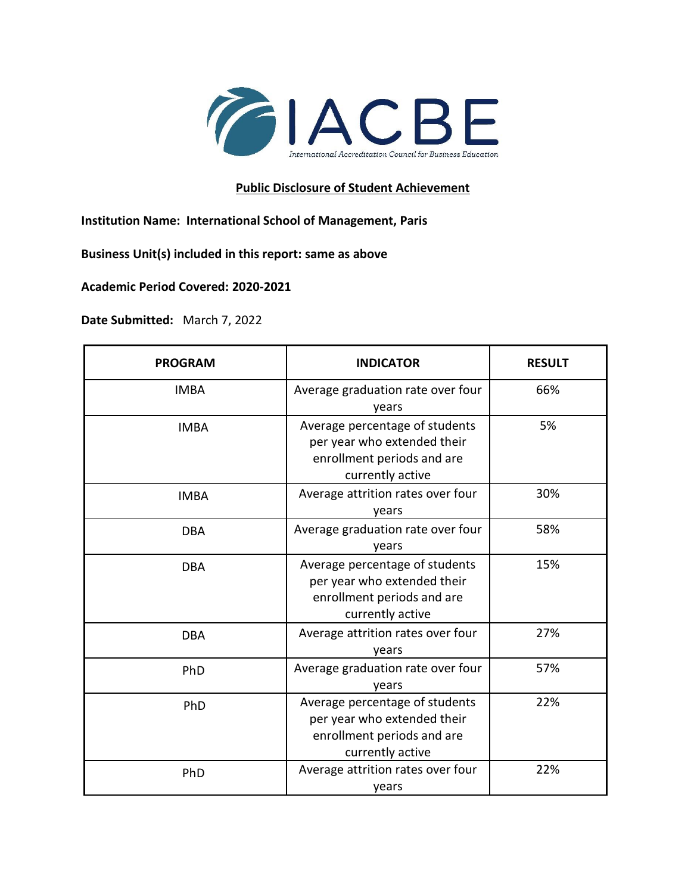

## **Public Disclosure of Student Achievement**

**Institution Name: International School of Management, Paris**

**Business Unit(s) included in this report: same as above**

**Academic Period Covered: 2020-2021**

**Date Submitted:** March 7, 2022

| <b>PROGRAM</b> | <b>INDICATOR</b>                                                                                                | <b>RESULT</b> |
|----------------|-----------------------------------------------------------------------------------------------------------------|---------------|
| <b>IMBA</b>    | Average graduation rate over four<br>years                                                                      | 66%           |
| <b>IMBA</b>    | Average percentage of students<br>per year who extended their<br>enrollment periods and are<br>currently active | 5%            |
| <b>IMBA</b>    | Average attrition rates over four<br>years                                                                      | 30%           |
| <b>DBA</b>     | Average graduation rate over four<br>years                                                                      | 58%           |
| <b>DBA</b>     | Average percentage of students<br>per year who extended their<br>enrollment periods and are<br>currently active | 15%           |
| <b>DBA</b>     | Average attrition rates over four<br>years                                                                      | 27%           |
| PhD            | Average graduation rate over four<br>years                                                                      | 57%           |
| PhD            | Average percentage of students<br>per year who extended their<br>enrollment periods and are<br>currently active | 22%           |
| PhD            | Average attrition rates over four<br>years                                                                      | 22%           |